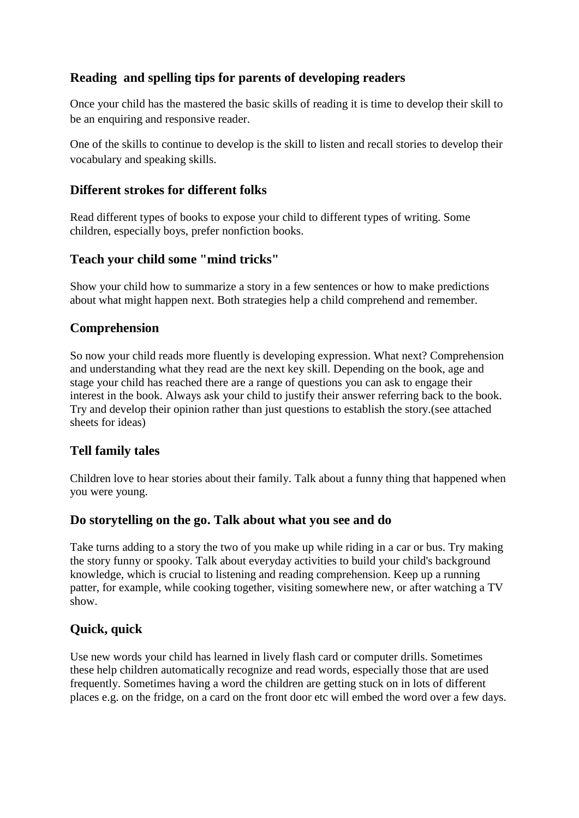# **Reading and spelling tips for parents of developing readers**

Once your child has the mastered the basic skills of reading it is time to develop their skill to be an enquiring and responsive reader.

One of the skills to continue to develop is the skill to listen and recall stories to develop their vocabulary and speaking skills.

### **Different strokes for different folks**

Read different types of books to expose your child to different types of writing. Some children, especially boys, prefer nonfiction books.

## **Teach your child some "mind tricks"**

Show your child how to summarize a story in a few sentences or how to make predictions about what might happen next. Both strategies help a child comprehend and remember.

### **Comprehension**

So now your child reads more fluently is developing expression. What next? Comprehension and understanding what they read are the next key skill. Depending on the book, age and stage your child has reached there are a range of questions you can ask to engage their interest in the book. Always ask your child to justify their answer referring back to the book. Try and develop their opinion rather than just questions to establish the story.(see attached sheets for ideas)

### **Tell family tales**

Children love to hear stories about their family. Talk about a funny thing that happened when you were young.

### **Do storytelling on the go. Talk about what you see and do**

Take turns adding to a story the two of you make up while riding in a car or bus. Try making the story funny or spooky. Talk about everyday activities to build your child's background knowledge, which is crucial to listening and reading comprehension. Keep up a running patter, for example, while cooking together, visiting somewhere new, or after watching a TV show.

# **Quick, quick**

Use new words your child has learned in lively flash card or computer drills. Sometimes these help children automatically recognize and read words, especially those that are used frequently. Sometimes having a word the children are getting stuck on in lots of different places e.g. on the fridge, on a card on the front door etc will embed the word over a few days.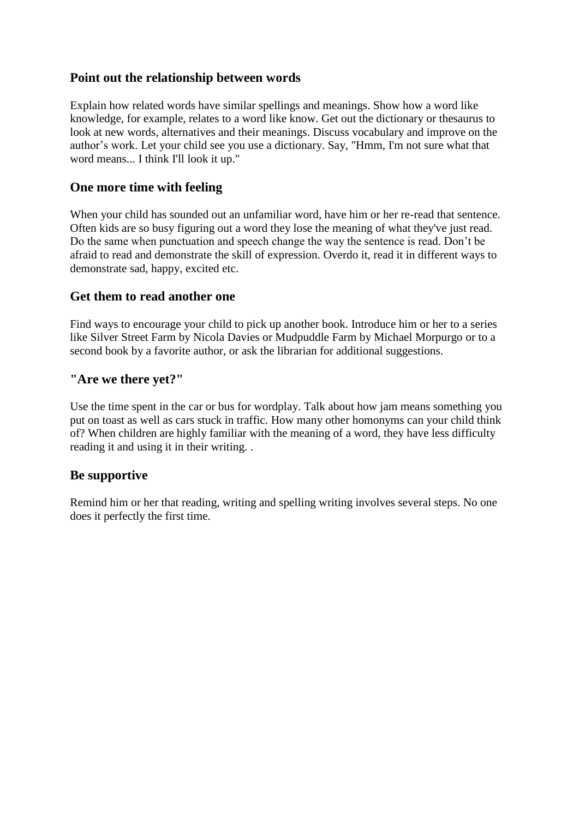## **Point out the relationship between words**

Explain how related words have similar spellings and meanings. Show how a word like knowledge, for example, relates to a word like know. Get out the dictionary or thesaurus to look at new words, alternatives and their meanings. Discuss vocabulary and improve on the author's work. Let your child see you use a dictionary. Say, "Hmm, I'm not sure what that word means... I think I'll look it up."

## **One more time with feeling**

When your child has sounded out an unfamiliar word, have him or her re-read that sentence. Often kids are so busy figuring out a word they lose the meaning of what they've just read. Do the same when punctuation and speech change the way the sentence is read. Don't be afraid to read and demonstrate the skill of expression. Overdo it, read it in different ways to demonstrate sad, happy, excited etc.

### **Get them to read another one**

Find ways to encourage your child to pick up another book. Introduce him or her to a series like Silver Street Farm by Nicola Davies or Mudpuddle Farm by Michael Morpurgo or to a second book by a favorite author, or ask the librarian for additional suggestions.

## **"Are we there yet?"**

Use the time spent in the car or bus for wordplay. Talk about how jam means something you put on toast as well as cars stuck in traffic. How many other homonyms can your child think of? When children are highly familiar with the meaning of a word, they have less difficulty reading it and using it in their writing. .

# **Be supportive**

Remind him or her that reading, writing and spelling writing involves several steps. No one does it perfectly the first time.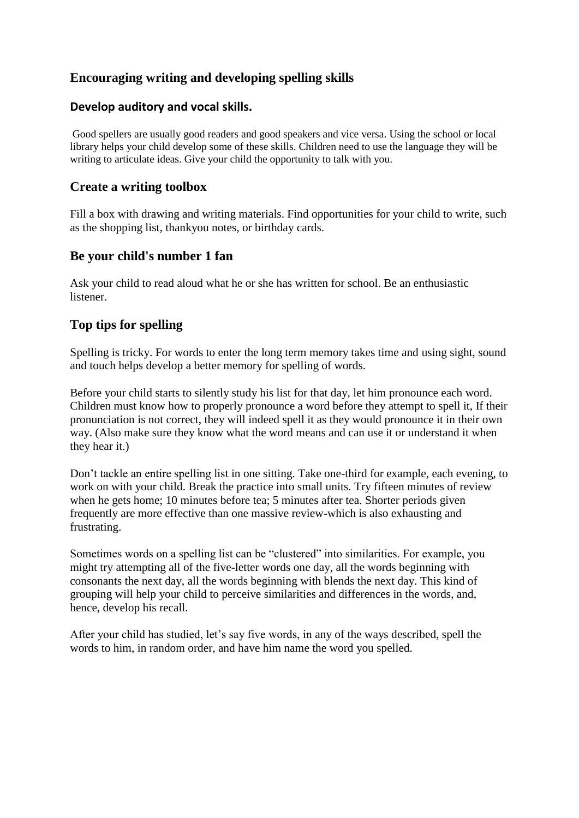# **Encouraging writing and developing spelling skills**

#### **Develop auditory and vocal skills.**

Good spellers are usually good readers and good speakers and vice versa. Using the school or local library helps your child develop some of these skills. Children need to use the language they will be writing to articulate ideas. Give your child the opportunity to talk with you.

#### **Create a writing toolbox**

Fill a box with drawing and writing materials. Find opportunities for your child to write, such as the shopping list, thankyou notes, or birthday cards.

### **Be your child's number 1 fan**

Ask your child to read aloud what he or she has written for school. Be an enthusiastic listener.

#### **Top tips for spelling**

Spelling is tricky. For words to enter the long term memory takes time and using sight, sound and touch helps develop a better memory for spelling of words.

Before your child starts to silently study his list for that day, let him pronounce each word. Children must know how to properly pronounce a word before they attempt to spell it, If their pronunciation is not correct, they will indeed spell it as they would pronounce it in their own way. (Also make sure they know what the word means and can use it or understand it when they hear it.)

Don't tackle an entire spelling list in one sitting. Take one-third for example, each evening, to work on with your child. Break the practice into small units. Try fifteen minutes of review when he gets home; 10 minutes before tea; 5 minutes after tea. Shorter periods given frequently are more effective than one massive review-which is also exhausting and frustrating.

Sometimes words on a spelling list can be "clustered" into similarities. For example, you might try attempting all of the five-letter words one day, all the words beginning with consonants the next day, all the words beginning with blends the next day. This kind of grouping will help your child to perceive similarities and differences in the words, and, hence, develop his recall.

After your child has studied, let's say five words, in any of the ways described, spell the words to him, in random order, and have him name the word you spelled.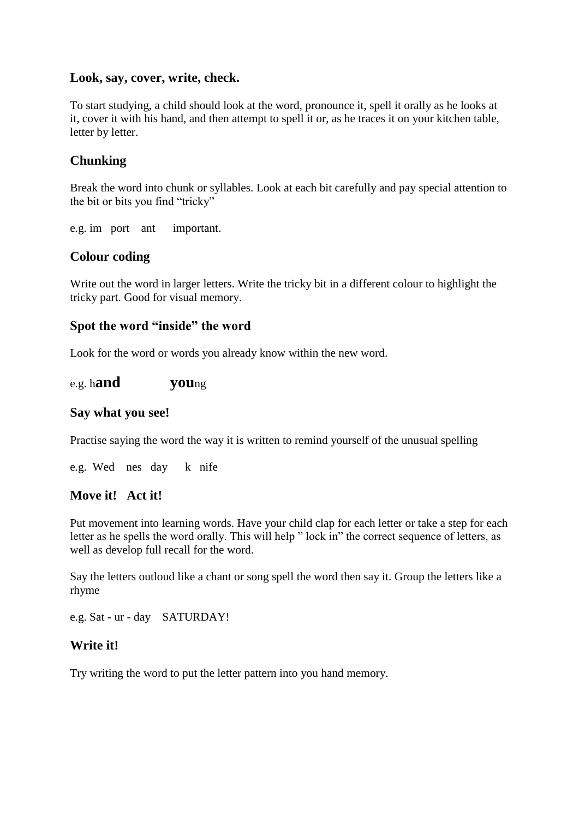#### **Look, say, cover, write, check.**

To start studying, a child should look at the word, pronounce it, spell it orally as he looks at it, cover it with his hand, and then attempt to spell it or, as he traces it on your kitchen table, letter by letter.

## **Chunking**

Break the word into chunk or syllables. Look at each bit carefully and pay special attention to the bit or bits you find "tricky"

e.g. im port ant important.

### **Colour coding**

Write out the word in larger letters. Write the tricky bit in a different colour to highlight the tricky part. Good for visual memory.

#### **Spot the word "inside" the word**

Look for the word or words you already know within the new word.

#### e.g. h**and you**ng

#### **Say what you see!**

Practise saying the word the way it is written to remind yourself of the unusual spelling

e.g. Wed nes day k nife

#### **Move it! Act it!**

Put movement into learning words. Have your child clap for each letter or take a step for each letter as he spells the word orally. This will help " lock in" the correct sequence of letters, as well as develop full recall for the word.

Say the letters outloud like a chant or song spell the word then say it. Group the letters like a rhyme

e.g. Sat - ur - day SATURDAY!

#### **Write it!**

Try writing the word to put the letter pattern into you hand memory.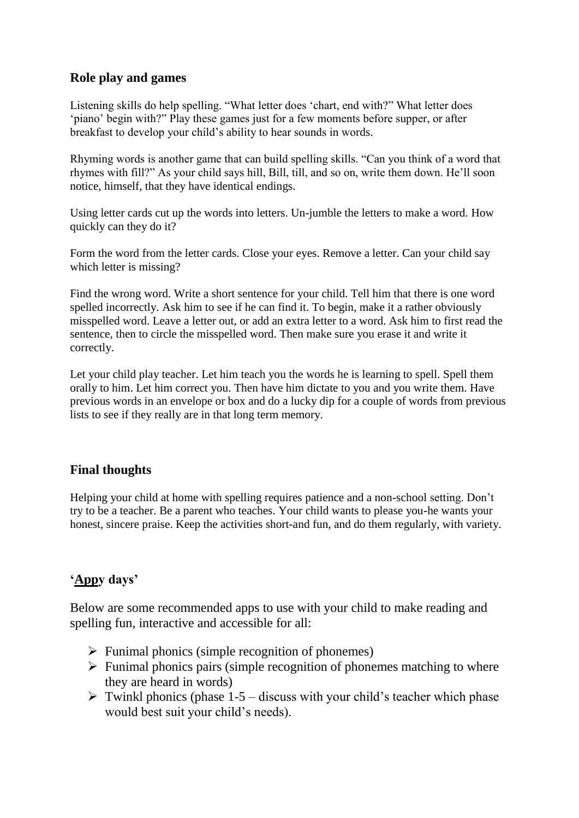## **Role play and games**

Listening skills do help spelling. "What letter does 'chart, end with?" What letter does 'piano' begin with?" Play these games just for a few moments before supper, or after breakfast to develop your child's ability to hear sounds in words.

Rhyming words is another game that can build spelling skills. "Can you think of a word that rhymes with fill?" As your child says hill, Bill, till, and so on, write them down. He'll soon notice, himself, that they have identical endings.

Using letter cards cut up the words into letters. Un-jumble the letters to make a word. How quickly can they do it?

Form the word from the letter cards. Close your eyes. Remove a letter. Can your child say which letter is missing?

Find the wrong word. Write a short sentence for your child. Tell him that there is one word spelled incorrectly. Ask him to see if he can find it. To begin, make it a rather obviously misspelled word. Leave a letter out, or add an extra letter to a word. Ask him to first read the sentence, then to circle the misspelled word. Then make sure you erase it and write it correctly.

Let your child play teacher. Let him teach you the words he is learning to spell. Spell them orally to him. Let him correct you. Then have him dictate to you and you write them. Have previous words in an envelope or box and do a lucky dip for a couple of words from previous lists to see if they really are in that long term memory.

# **Final thoughts**

Helping your child at home with spelling requires patience and a non-school setting. Don't try to be a teacher. Be a parent who teaches. Your child wants to please you-he wants your honest, sincere praise. Keep the activities short-and fun, and do them regularly, with variety.

# **'Appy days'**

Below are some recommended apps to use with your child to make reading and spelling fun, interactive and accessible for all:

- $\triangleright$  Funimal phonics (simple recognition of phonemes)
- $\triangleright$  Funimal phonics pairs (simple recognition of phonemes matching to where they are heard in words)
- $\triangleright$  Twinkl phonics (phase 1-5 discuss with your child's teacher which phase would best suit your child's needs).